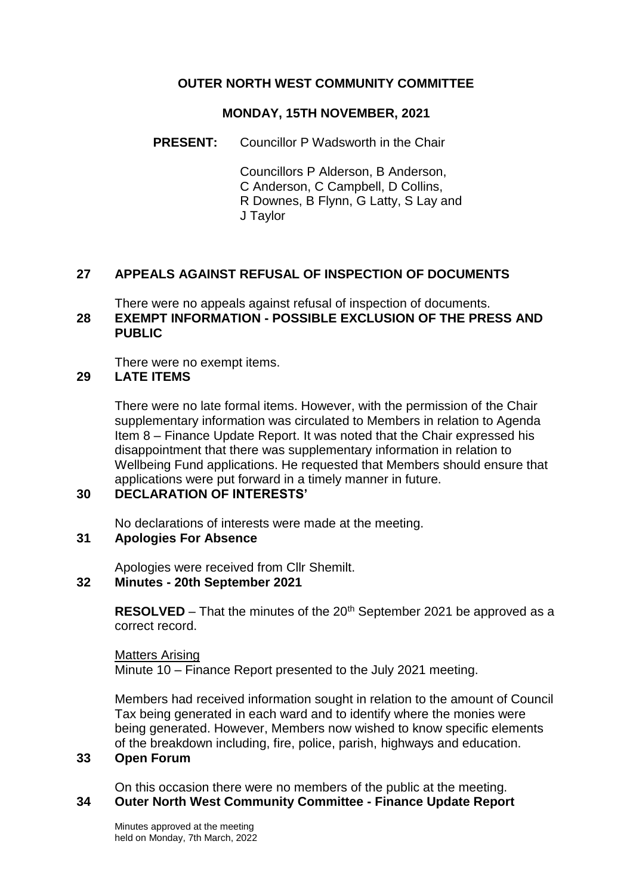# **OUTER NORTH WEST COMMUNITY COMMITTEE**

## **MONDAY, 15TH NOVEMBER, 2021**

**PRESENT:** Councillor P Wadsworth in the Chair

Councillors P Alderson, B Anderson, C Anderson, C Campbell, D Collins, R Downes, B Flynn, G Latty, S Lay and J Taylor

# **27 APPEALS AGAINST REFUSAL OF INSPECTION OF DOCUMENTS**

There were no appeals against refusal of inspection of documents. **28 EXEMPT INFORMATION - POSSIBLE EXCLUSION OF THE PRESS AND PUBLIC**

There were no exempt items.

### **29 LATE ITEMS**

There were no late formal items. However, with the permission of the Chair supplementary information was circulated to Members in relation to Agenda Item 8 – Finance Update Report. It was noted that the Chair expressed his disappointment that there was supplementary information in relation to Wellbeing Fund applications. He requested that Members should ensure that applications were put forward in a timely manner in future.

# **30 DECLARATION OF INTERESTS'**

No declarations of interests were made at the meeting.

## **31 Apologies For Absence**

Apologies were received from Cllr Shemilt.

### **32 Minutes - 20th September 2021**

**RESOLVED** – That the minutes of the 20<sup>th</sup> September 2021 be approved as a correct record.

Matters Arising Minute 10 – Finance Report presented to the July 2021 meeting.

Members had received information sought in relation to the amount of Council Tax being generated in each ward and to identify where the monies were being generated. However, Members now wished to know specific elements of the breakdown including, fire, police, parish, highways and education.

### **33 Open Forum**

On this occasion there were no members of the public at the meeting.

# **34 Outer North West Community Committee - Finance Update Report**

Minutes approved at the meeting held on Monday, 7th March, 2022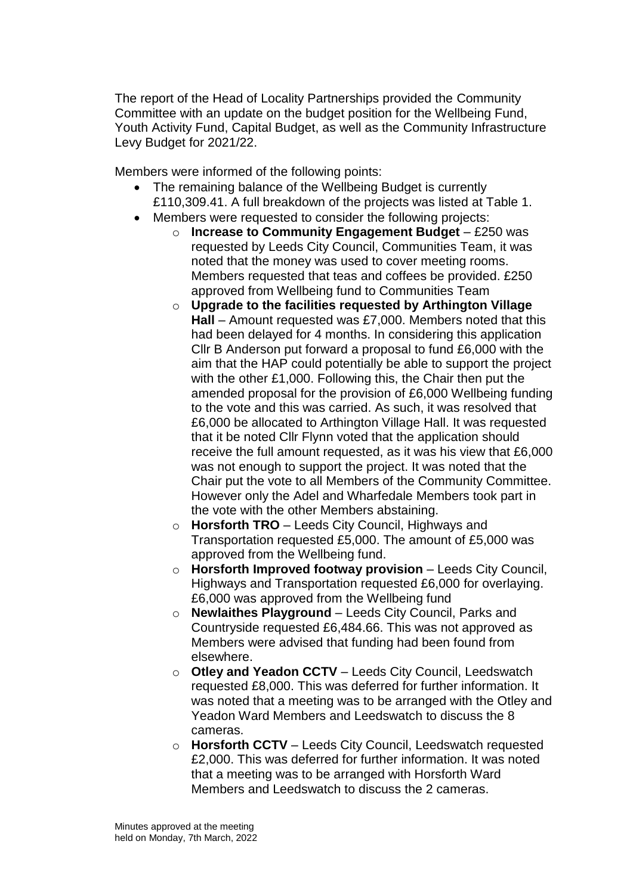The report of the Head of Locality Partnerships provided the Community Committee with an update on the budget position for the Wellbeing Fund, Youth Activity Fund, Capital Budget, as well as the Community Infrastructure Levy Budget for 2021/22.

Members were informed of the following points:

- The remaining balance of the Wellbeing Budget is currently £110,309.41. A full breakdown of the projects was listed at Table 1.
- Members were requested to consider the following projects:
	- o **Increase to Community Engagement Budget** £250 was requested by Leeds City Council, Communities Team, it was noted that the money was used to cover meeting rooms. Members requested that teas and coffees be provided. £250 approved from Wellbeing fund to Communities Team
		- o **Upgrade to the facilities requested by Arthington Village Hall** – Amount requested was £7,000. Members noted that this had been delayed for 4 months. In considering this application Cllr B Anderson put forward a proposal to fund £6,000 with the aim that the HAP could potentially be able to support the project with the other £1,000. Following this, the Chair then put the amended proposal for the provision of £6,000 Wellbeing funding to the vote and this was carried. As such, it was resolved that £6,000 be allocated to Arthington Village Hall. It was requested that it be noted Cllr Flynn voted that the application should receive the full amount requested, as it was his view that £6,000 was not enough to support the project. It was noted that the Chair put the vote to all Members of the Community Committee. However only the Adel and Wharfedale Members took part in the vote with the other Members abstaining.
		- o **Horsforth TRO** Leeds City Council, Highways and Transportation requested £5,000. The amount of £5,000 was approved from the Wellbeing fund.
		- o **Horsforth Improved footway provision**  Leeds City Council, Highways and Transportation requested £6,000 for overlaying. £6,000 was approved from the Wellbeing fund
		- o **Newlaithes Playground**  Leeds City Council, Parks and Countryside requested £6,484.66. This was not approved as Members were advised that funding had been found from elsewhere.
		- o **Otley and Yeadon CCTV**  Leeds City Council, Leedswatch requested £8,000. This was deferred for further information. It was noted that a meeting was to be arranged with the Otley and Yeadon Ward Members and Leedswatch to discuss the 8 cameras.
		- o **Horsforth CCTV**  Leeds City Council, Leedswatch requested £2,000. This was deferred for further information. It was noted that a meeting was to be arranged with Horsforth Ward Members and Leedswatch to discuss the 2 cameras.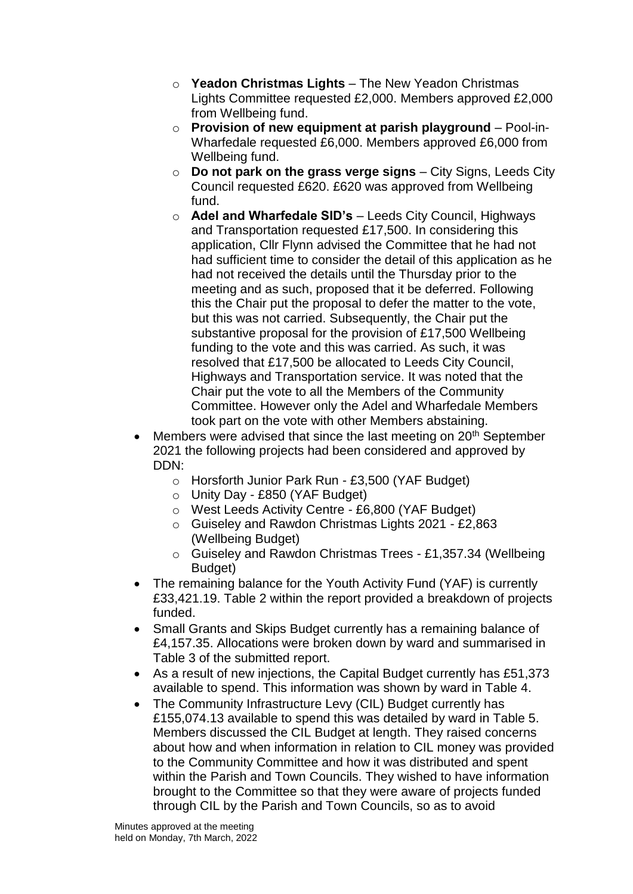- o **Yeadon Christmas Lights**  The New Yeadon Christmas Lights Committee requested £2,000. Members approved £2,000 from Wellbeing fund.
- o **Provision of new equipment at parish playground**  Pool-in-Wharfedale requested £6,000. Members approved £6,000 from Wellbeing fund.
- o **Do not park on the grass verge signs**  City Signs, Leeds City Council requested £620. £620 was approved from Wellbeing fund.
- o **Adel and Wharfedale SID's**  Leeds City Council, Highways and Transportation requested £17,500. In considering this application, Cllr Flynn advised the Committee that he had not had sufficient time to consider the detail of this application as he had not received the details until the Thursday prior to the meeting and as such, proposed that it be deferred. Following this the Chair put the proposal to defer the matter to the vote, but this was not carried. Subsequently, the Chair put the substantive proposal for the provision of £17,500 Wellbeing funding to the vote and this was carried. As such, it was resolved that £17,500 be allocated to Leeds City Council, Highways and Transportation service. It was noted that the Chair put the vote to all the Members of the Community Committee. However only the Adel and Wharfedale Members took part on the vote with other Members abstaining.
- Members were advised that since the last meeting on 20<sup>th</sup> September 2021 the following projects had been considered and approved by DDN:
	- o Horsforth Junior Park Run £3,500 (YAF Budget)
	- o Unity Day £850 (YAF Budget)
	- o West Leeds Activity Centre £6,800 (YAF Budget)
	- o Guiseley and Rawdon Christmas Lights 2021 £2,863 (Wellbeing Budget)
	- o Guiseley and Rawdon Christmas Trees £1,357.34 (Wellbeing Budget)
- The remaining balance for the Youth Activity Fund (YAF) is currently £33,421.19. Table 2 within the report provided a breakdown of projects funded.
- Small Grants and Skips Budget currently has a remaining balance of £4,157.35. Allocations were broken down by ward and summarised in Table 3 of the submitted report.
- As a result of new injections, the Capital Budget currently has £51,373 available to spend. This information was shown by ward in Table 4.
- The Community Infrastructure Levy (CIL) Budget currently has £155,074.13 available to spend this was detailed by ward in Table 5. Members discussed the CIL Budget at length. They raised concerns about how and when information in relation to CIL money was provided to the Community Committee and how it was distributed and spent within the Parish and Town Councils. They wished to have information brought to the Committee so that they were aware of projects funded through CIL by the Parish and Town Councils, so as to avoid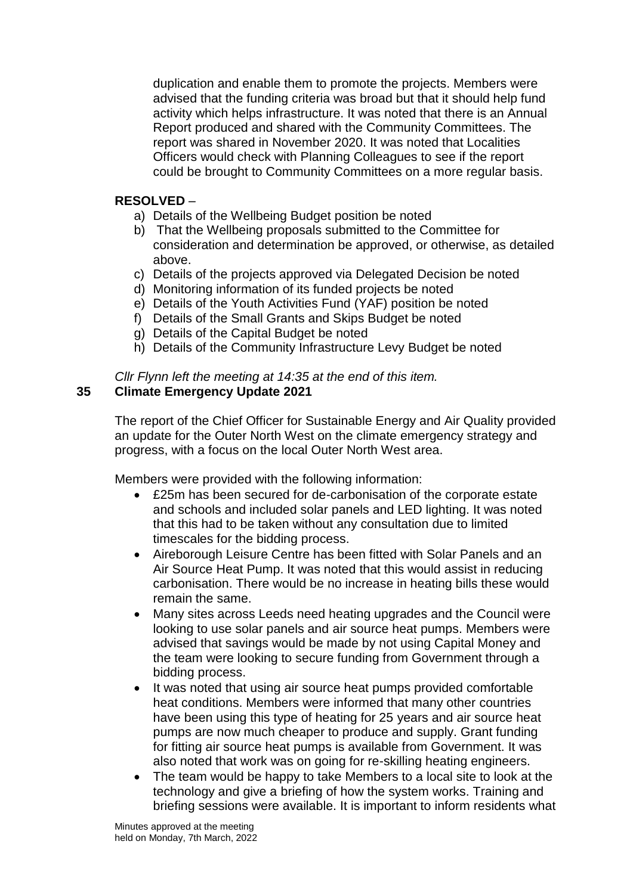duplication and enable them to promote the projects. Members were advised that the funding criteria was broad but that it should help fund activity which helps infrastructure. It was noted that there is an Annual Report produced and shared with the Community Committees. The report was shared in November 2020. It was noted that Localities Officers would check with Planning Colleagues to see if the report could be brought to Community Committees on a more regular basis.

# **RESOLVED** –

- a) Details of the Wellbeing Budget position be noted
- b) That the Wellbeing proposals submitted to the Committee for consideration and determination be approved, or otherwise, as detailed above.
- c) Details of the projects approved via Delegated Decision be noted
- d) Monitoring information of its funded projects be noted
- e) Details of the Youth Activities Fund (YAF) position be noted
- f) Details of the Small Grants and Skips Budget be noted
- g) Details of the Capital Budget be noted
- h) Details of the Community Infrastructure Levy Budget be noted

# *Cllr Flynn left the meeting at 14:35 at the end of this item.*

# **35 Climate Emergency Update 2021**

The report of the Chief Officer for Sustainable Energy and Air Quality provided an update for the Outer North West on the climate emergency strategy and progress, with a focus on the local Outer North West area.

Members were provided with the following information:

- £25m has been secured for de-carbonisation of the corporate estate and schools and included solar panels and LED lighting. It was noted that this had to be taken without any consultation due to limited timescales for the bidding process.
- Aireborough Leisure Centre has been fitted with Solar Panels and an Air Source Heat Pump. It was noted that this would assist in reducing carbonisation. There would be no increase in heating bills these would remain the same.
- Many sites across Leeds need heating upgrades and the Council were looking to use solar panels and air source heat pumps. Members were advised that savings would be made by not using Capital Money and the team were looking to secure funding from Government through a bidding process.
- It was noted that using air source heat pumps provided comfortable heat conditions. Members were informed that many other countries have been using this type of heating for 25 years and air source heat pumps are now much cheaper to produce and supply. Grant funding for fitting air source heat pumps is available from Government. It was also noted that work was on going for re-skilling heating engineers.
- The team would be happy to take Members to a local site to look at the technology and give a briefing of how the system works. Training and briefing sessions were available. It is important to inform residents what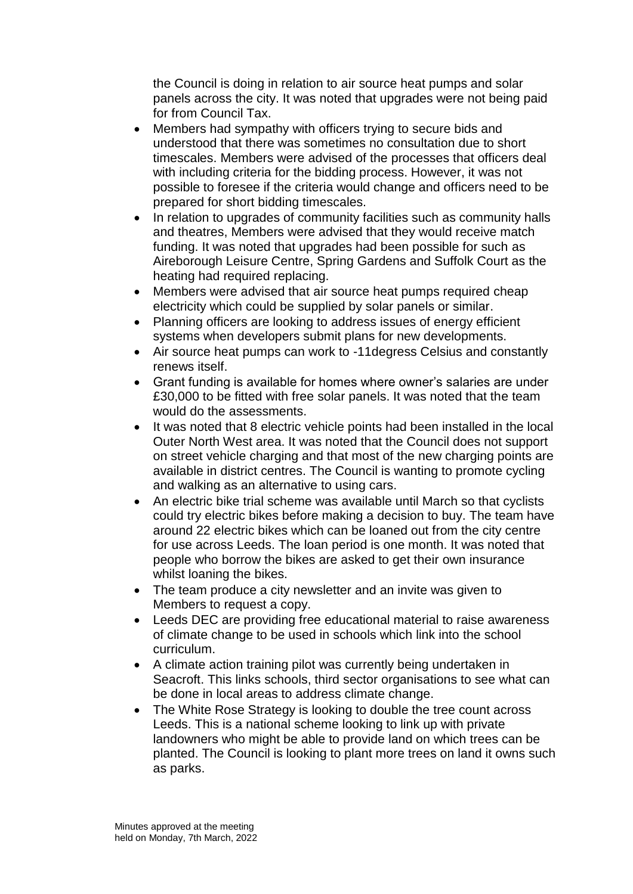the Council is doing in relation to air source heat pumps and solar panels across the city. It was noted that upgrades were not being paid for from Council Tax.

- Members had sympathy with officers trying to secure bids and understood that there was sometimes no consultation due to short timescales. Members were advised of the processes that officers deal with including criteria for the bidding process. However, it was not possible to foresee if the criteria would change and officers need to be prepared for short bidding timescales.
- In relation to upgrades of community facilities such as community halls and theatres, Members were advised that they would receive match funding. It was noted that upgrades had been possible for such as Aireborough Leisure Centre, Spring Gardens and Suffolk Court as the heating had required replacing.
- Members were advised that air source heat pumps required cheap electricity which could be supplied by solar panels or similar.
- Planning officers are looking to address issues of energy efficient systems when developers submit plans for new developments.
- Air source heat pumps can work to -11degress Celsius and constantly renews itself.
- Grant funding is available for homes where owner's salaries are under £30,000 to be fitted with free solar panels. It was noted that the team would do the assessments.
- It was noted that 8 electric vehicle points had been installed in the local Outer North West area. It was noted that the Council does not support on street vehicle charging and that most of the new charging points are available in district centres. The Council is wanting to promote cycling and walking as an alternative to using cars.
- An electric bike trial scheme was available until March so that cyclists could try electric bikes before making a decision to buy. The team have around 22 electric bikes which can be loaned out from the city centre for use across Leeds. The loan period is one month. It was noted that people who borrow the bikes are asked to get their own insurance whilst loaning the bikes.
- The team produce a city newsletter and an invite was given to Members to request a copy.
- Leeds DEC are providing free educational material to raise awareness of climate change to be used in schools which link into the school curriculum.
- A climate action training pilot was currently being undertaken in Seacroft. This links schools, third sector organisations to see what can be done in local areas to address climate change.
- The White Rose Strategy is looking to double the tree count across Leeds. This is a national scheme looking to link up with private landowners who might be able to provide land on which trees can be planted. The Council is looking to plant more trees on land it owns such as parks.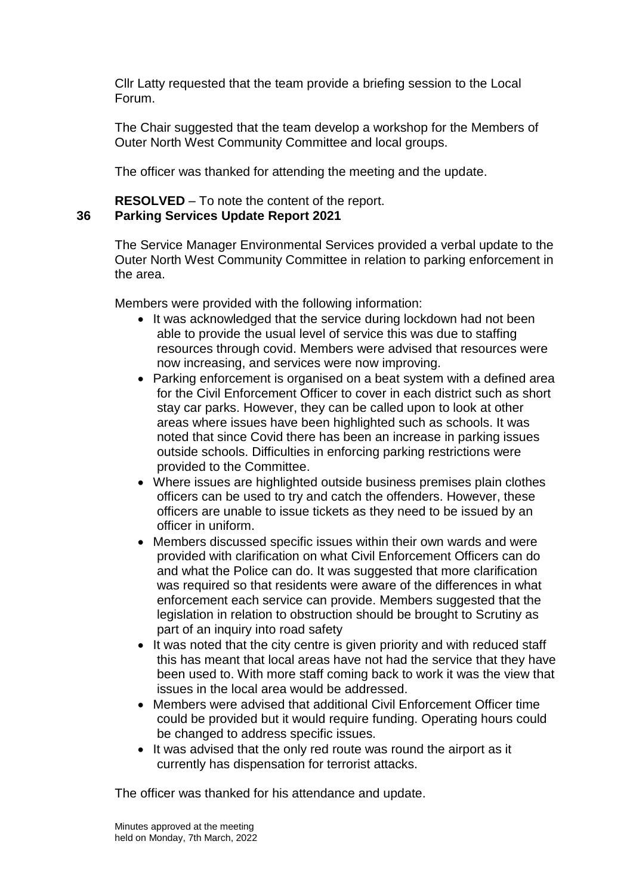Cllr Latty requested that the team provide a briefing session to the Local Forum.

The Chair suggested that the team develop a workshop for the Members of Outer North West Community Committee and local groups.

The officer was thanked for attending the meeting and the update.

**RESOLVED** – To note the content of the report. **36 Parking Services Update Report 2021**

> The Service Manager Environmental Services provided a verbal update to the Outer North West Community Committee in relation to parking enforcement in the area.

Members were provided with the following information:

- It was acknowledged that the service during lockdown had not been able to provide the usual level of service this was due to staffing resources through covid. Members were advised that resources were now increasing, and services were now improving.
- Parking enforcement is organised on a beat system with a defined area for the Civil Enforcement Officer to cover in each district such as short stay car parks. However, they can be called upon to look at other areas where issues have been highlighted such as schools. It was noted that since Covid there has been an increase in parking issues outside schools. Difficulties in enforcing parking restrictions were provided to the Committee.
- Where issues are highlighted outside business premises plain clothes officers can be used to try and catch the offenders. However, these officers are unable to issue tickets as they need to be issued by an officer in uniform.
- Members discussed specific issues within their own wards and were provided with clarification on what Civil Enforcement Officers can do and what the Police can do. It was suggested that more clarification was required so that residents were aware of the differences in what enforcement each service can provide. Members suggested that the legislation in relation to obstruction should be brought to Scrutiny as part of an inquiry into road safety
- It was noted that the city centre is given priority and with reduced staff this has meant that local areas have not had the service that they have been used to. With more staff coming back to work it was the view that issues in the local area would be addressed.
- Members were advised that additional Civil Enforcement Officer time could be provided but it would require funding. Operating hours could be changed to address specific issues.
- It was advised that the only red route was round the airport as it currently has dispensation for terrorist attacks.

The officer was thanked for his attendance and update.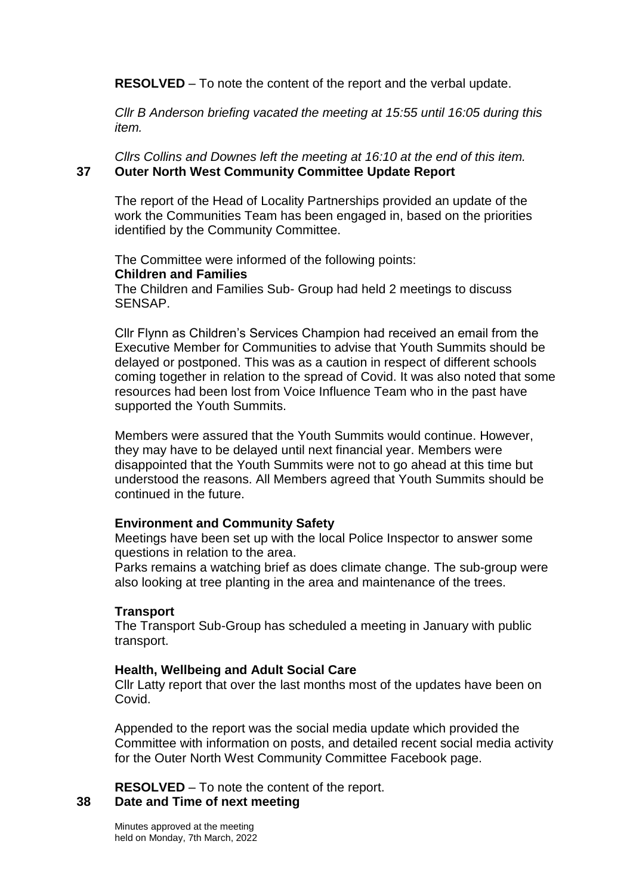**RESOLVED** – To note the content of the report and the verbal update.

*Cllr B Anderson briefing vacated the meeting at 15:55 until 16:05 during this item.*

*Cllrs Collins and Downes left the meeting at 16:10 at the end of this item.* **37 Outer North West Community Committee Update Report**

The report of the Head of Locality Partnerships provided an update of the work the Communities Team has been engaged in, based on the priorities identified by the Community Committee.

The Committee were informed of the following points: **Children and Families** The Children and Families Sub- Group had held 2 meetings to discuss SENSAP.

Cllr Flynn as Children's Services Champion had received an email from the Executive Member for Communities to advise that Youth Summits should be delayed or postponed. This was as a caution in respect of different schools coming together in relation to the spread of Covid. It was also noted that some resources had been lost from Voice Influence Team who in the past have supported the Youth Summits.

Members were assured that the Youth Summits would continue. However, they may have to be delayed until next financial year. Members were disappointed that the Youth Summits were not to go ahead at this time but understood the reasons. All Members agreed that Youth Summits should be continued in the future.

### **Environment and Community Safety**

Meetings have been set up with the local Police Inspector to answer some questions in relation to the area.

Parks remains a watching brief as does climate change. The sub-group were also looking at tree planting in the area and maintenance of the trees.

### **Transport**

The Transport Sub-Group has scheduled a meeting in January with public transport.

### **Health, Wellbeing and Adult Social Care**

Cllr Latty report that over the last months most of the updates have been on Covid.

Appended to the report was the social media update which provided the Committee with information on posts, and detailed recent social media activity for the Outer North West Community Committee Facebook page.

**RESOLVED** – To note the content of the report.

### **38 Date and Time of next meeting**

Minutes approved at the meeting held on Monday, 7th March, 2022